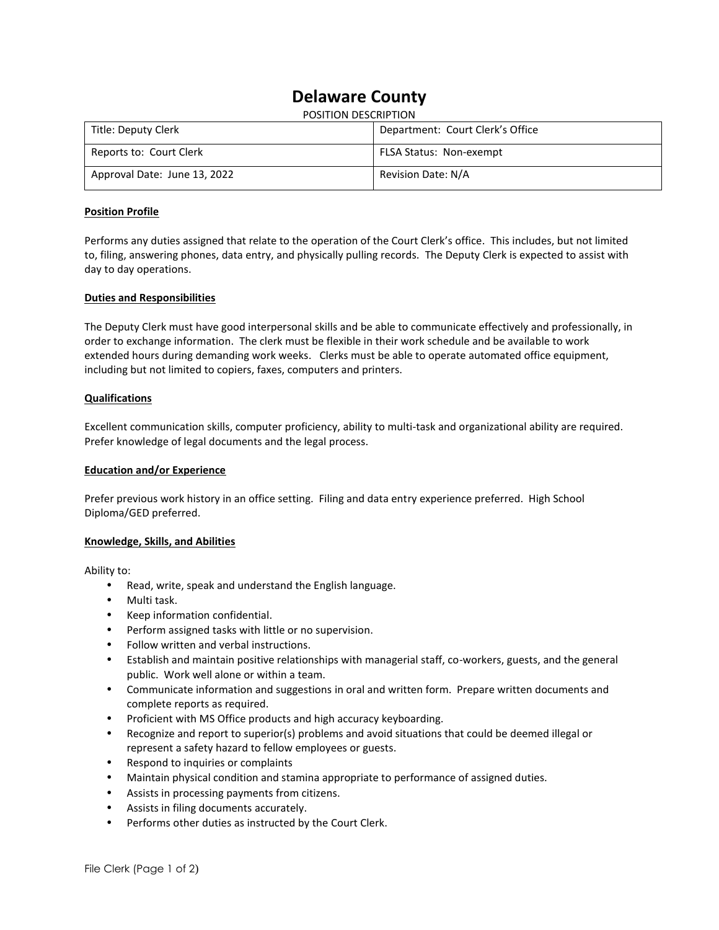# **Delaware County**

|  | POSITION DESCRIPTION |
|--|----------------------|
|--|----------------------|

| Title: Deputy Clerk          | Department: Court Clerk's Office |
|------------------------------|----------------------------------|
| Reports to: Court Clerk      | <b>FLSA Status: Non-exempt</b>   |
| Approval Date: June 13, 2022 | Revision Date: N/A               |

# **Position Profile**

Performs any duties assigned that relate to the operation of the Court Clerk's office. This includes, but not limited to, filing, answering phones, data entry, and physically pulling records. The Deputy Clerk is expected to assist with day to day operations.

# **Duties and Responsibilities**

The Deputy Clerk must have good interpersonal skills and be able to communicate effectively and professionally, in order to exchange information. The clerk must be flexible in their work schedule and be available to work extended hours during demanding work weeks. Clerks must be able to operate automated office equipment, including but not limited to copiers, faxes, computers and printers.

# **Qualifications**

Excellent communication skills, computer proficiency, ability to multi-task and organizational ability are required. Prefer knowledge of legal documents and the legal process.

## **Education and/or Experience**

Prefer previous work history in an office setting. Filing and data entry experience preferred. High School Diploma/GED preferred.

### **Knowledge, Skills, and Abilities**

Ability to:

- Read, write, speak and understand the English language.
- Multi task.
- Keep information confidential.
- Perform assigned tasks with little or no supervision.
- Follow written and verbal instructions.
- Establish and maintain positive relationships with managerial staff, co-workers, guests, and the general public. Work well alone or within a team.
- Communicate information and suggestions in oral and written form. Prepare written documents and complete reports as required.
- Proficient with MS Office products and high accuracy keyboarding.
- Recognize and report to superior(s) problems and avoid situations that could be deemed illegal or represent a safety hazard to fellow employees or guests.
- Respond to inquiries or complaints
- Maintain physical condition and stamina appropriate to performance of assigned duties.
- Assists in processing payments from citizens.
- Assists in filing documents accurately.
- Performs other duties as instructed by the Court Clerk.